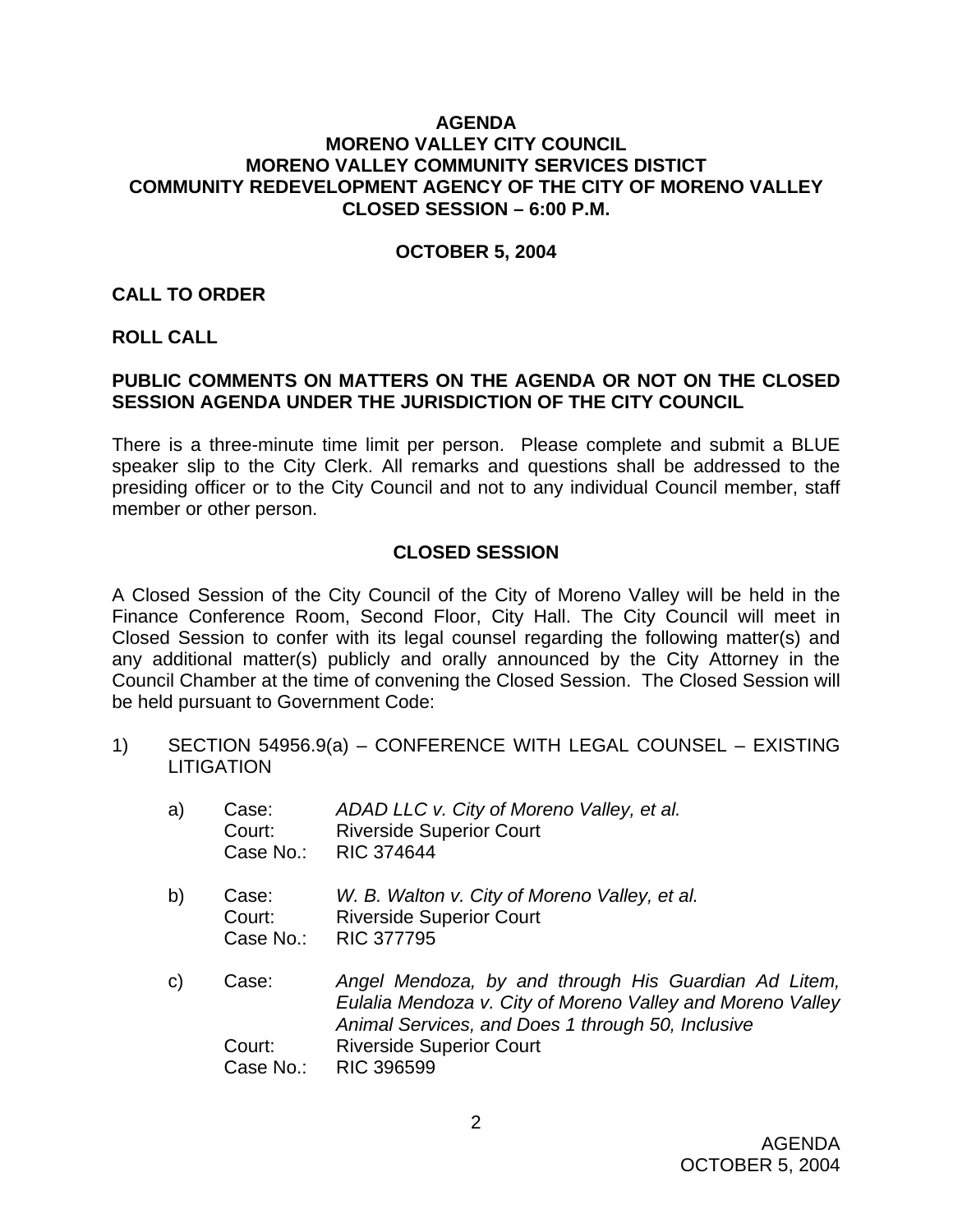### **AGENDA MORENO VALLEY CITY COUNCIL MORENO VALLEY COMMUNITY SERVICES DISTICT COMMUNITY REDEVELOPMENT AGENCY OF THE CITY OF MORENO VALLEY CLOSED SESSION – 6:00 P.M.**

#### **OCTOBER 5, 2004**

#### **CALL TO ORDER**

### **ROLL CALL**

### **PUBLIC COMMENTS ON MATTERS ON THE AGENDA OR NOT ON THE CLOSED SESSION AGENDA UNDER THE JURISDICTION OF THE CITY COUNCIL**

There is a three-minute time limit per person. Please complete and submit a BLUE speaker slip to the City Clerk. All remarks and questions shall be addressed to the presiding officer or to the City Council and not to any individual Council member, staff member or other person.

## **CLOSED SESSION**

A Closed Session of the City Council of the City of Moreno Valley will be held in the Finance Conference Room, Second Floor, City Hall. The City Council will meet in Closed Session to confer with its legal counsel regarding the following matter(s) and any additional matter(s) publicly and orally announced by the City Attorney in the Council Chamber at the time of convening the Closed Session. The Closed Session will be held pursuant to Government Code:

1) SECTION 54956.9(a) – CONFERENCE WITH LEGAL COUNSEL – EXISTING **LITIGATION** 

| a)           | Case:<br>Court:<br>Case No.: | ADAD LLC v. City of Moreno Valley, et al.<br><b>Riverside Superior Court</b><br><b>RIC 374644</b>                                                                       |
|--------------|------------------------------|-------------------------------------------------------------------------------------------------------------------------------------------------------------------------|
| b)           | Case:<br>Court:<br>Case No.: | W. B. Walton v. City of Moreno Valley, et al.<br><b>Riverside Superior Court</b><br><b>RIC 377795</b>                                                                   |
| $\mathsf{C}$ | Case:                        | Angel Mendoza, by and through His Guardian Ad Litem,<br>Eulalia Mendoza v. City of Moreno Valley and Moreno Valley<br>Animal Services, and Does 1 through 50, Inclusive |
|              | Court:                       | <b>Riverside Superior Court</b>                                                                                                                                         |
|              | Case No.:                    | <b>RIC 396599</b>                                                                                                                                                       |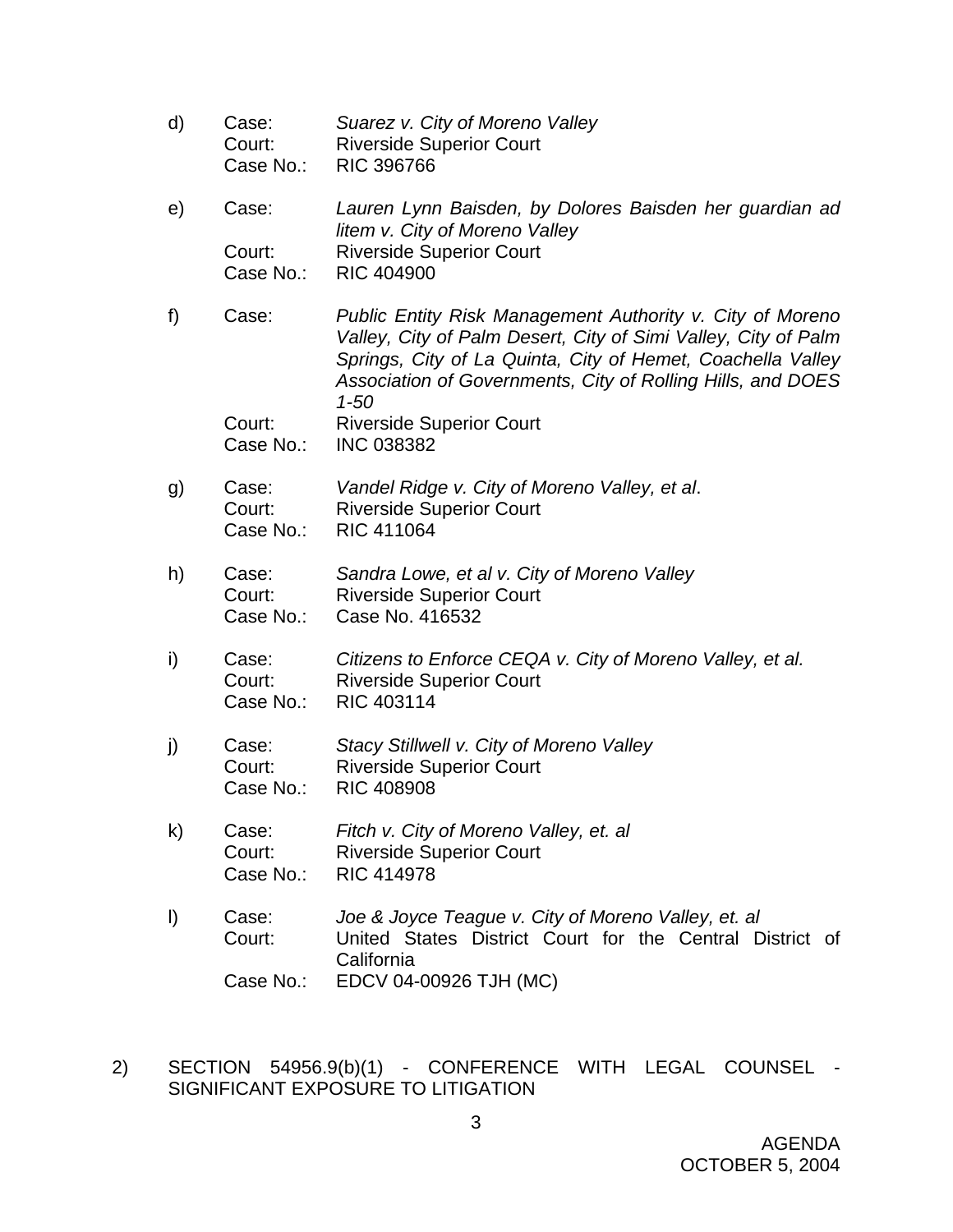- d) Case: *Suarez v. City of Moreno Valley*  Court: Riverside Superior Court Case No.: RIC 396766 e) Case: *Lauren Lynn Baisden, by Dolores Baisden her guardian ad litem v. City of Moreno Valley*  Court: Riverside Superior Court Case No.: RIC 404900 f) Case: *Public Entity Risk Management Authority v. City of Moreno Valley, City of Palm Desert, City of Simi Valley, City of Palm Springs, City of La Quinta, City of Hemet, Coachella Valley Association of Governments, City of Rolling Hills, and DOES 1-50*  Court: Riverside Superior Court Case No.: INC 038382 g) Case: *Vandel Ridge v. City of Moreno Valley, et al*. Court: Riverside Superior Court Case No.: RIC 411064 h) Case: *Sandra Lowe, et al v. City of Moreno Valley*  Court: Riverside Superior Court Case No.: Case No. 416532 i) Case: *Citizens to Enforce CEQA v. City of Moreno Valley, et al.* Court: Riverside Superior Court Case No.: RIC 403114 j) Case: *Stacy Stillwell v. City of Moreno Valley*  Court: Riverside Superior Court Case No.: RIC 408908 k) Case: *Fitch v. City of Moreno Valley, et. al*  Court: Riverside Superior Court Case No.: RIC 414978 l) Case: *Joe & Joyce Teague v. City of Moreno Valley, et. al*  Court: United States District Court for the Central District of California Case No.: EDCV 04-00926 TJH (MC)
- 2) SECTION 54956.9(b)(1) CONFERENCE WITH LEGAL COUNSEL SIGNIFICANT EXPOSURE TO LITIGATION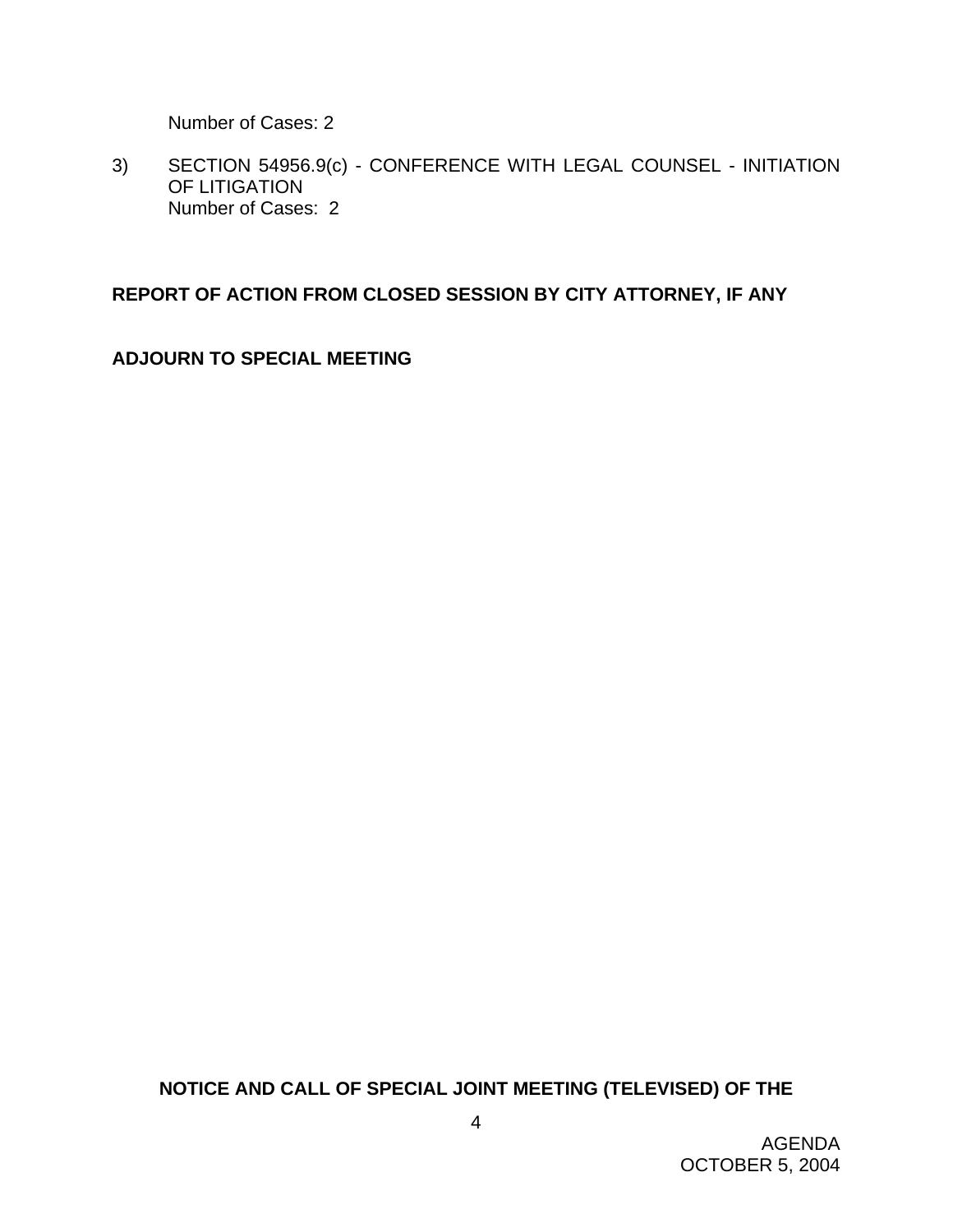Number of Cases: 2

3) SECTION 54956.9(c) - CONFERENCE WITH LEGAL COUNSEL - INITIATION OF LITIGATION Number of Cases: 2

## **REPORT OF ACTION FROM CLOSED SESSION BY CITY ATTORNEY, IF ANY**

**ADJOURN TO SPECIAL MEETING** 

**NOTICE AND CALL OF SPECIAL JOINT MEETING (TELEVISED) OF THE**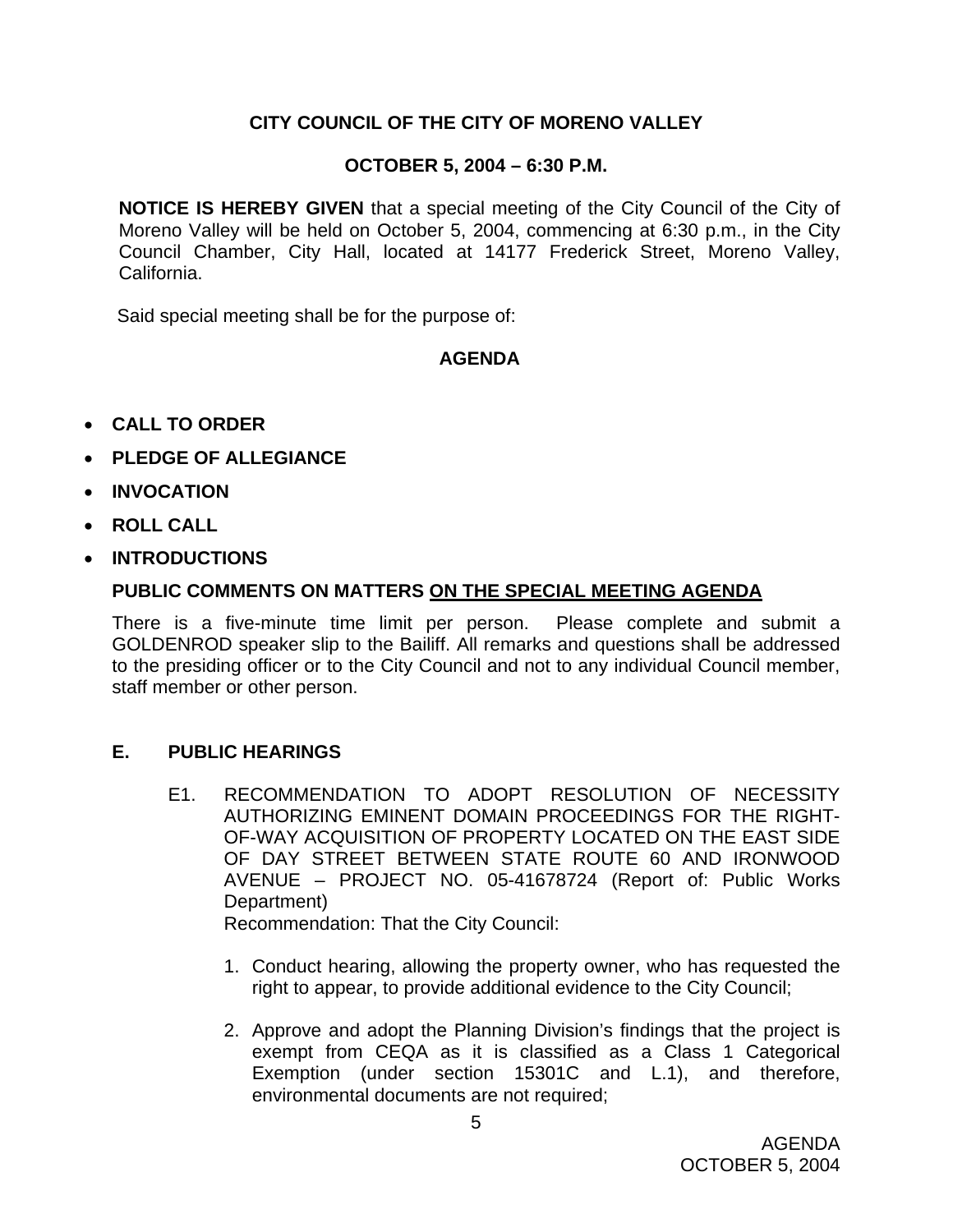# **CITY COUNCIL OF THE CITY OF MORENO VALLEY**

## **OCTOBER 5, 2004 – 6:30 P.M.**

**NOTICE IS HEREBY GIVEN** that a special meeting of the City Council of the City of Moreno Valley will be held on October 5, 2004, commencing at 6:30 p.m., in the City Council Chamber, City Hall, located at 14177 Frederick Street, Moreno Valley, California.

Said special meeting shall be for the purpose of:

## **AGENDA**

- **CALL TO ORDER**
- **PLEDGE OF ALLEGIANCE**
- **INVOCATION**
- **ROLL CALL**
- **INTRODUCTIONS**

## **PUBLIC COMMENTS ON MATTERS ON THE SPECIAL MEETING AGENDA**

There is a five-minute time limit per person. Please complete and submit a GOLDENROD speaker slip to the Bailiff. All remarks and questions shall be addressed to the presiding officer or to the City Council and not to any individual Council member, staff member or other person.

## **E. PUBLIC HEARINGS**

E1. RECOMMENDATION TO ADOPT RESOLUTION OF NECESSITY AUTHORIZING EMINENT DOMAIN PROCEEDINGS FOR THE RIGHT-OF-WAY ACQUISITION OF PROPERTY LOCATED ON THE EAST SIDE OF DAY STREET BETWEEN STATE ROUTE 60 AND IRONWOOD AVENUE – PROJECT NO. 05-41678724 (Report of: Public Works Department)

Recommendation: That the City Council:

- 1. Conduct hearing, allowing the property owner, who has requested the right to appear, to provide additional evidence to the City Council;
- 2. Approve and adopt the Planning Division's findings that the project is exempt from CEQA as it is classified as a Class 1 Categorical Exemption (under section 15301C and L.1), and therefore, environmental documents are not required;